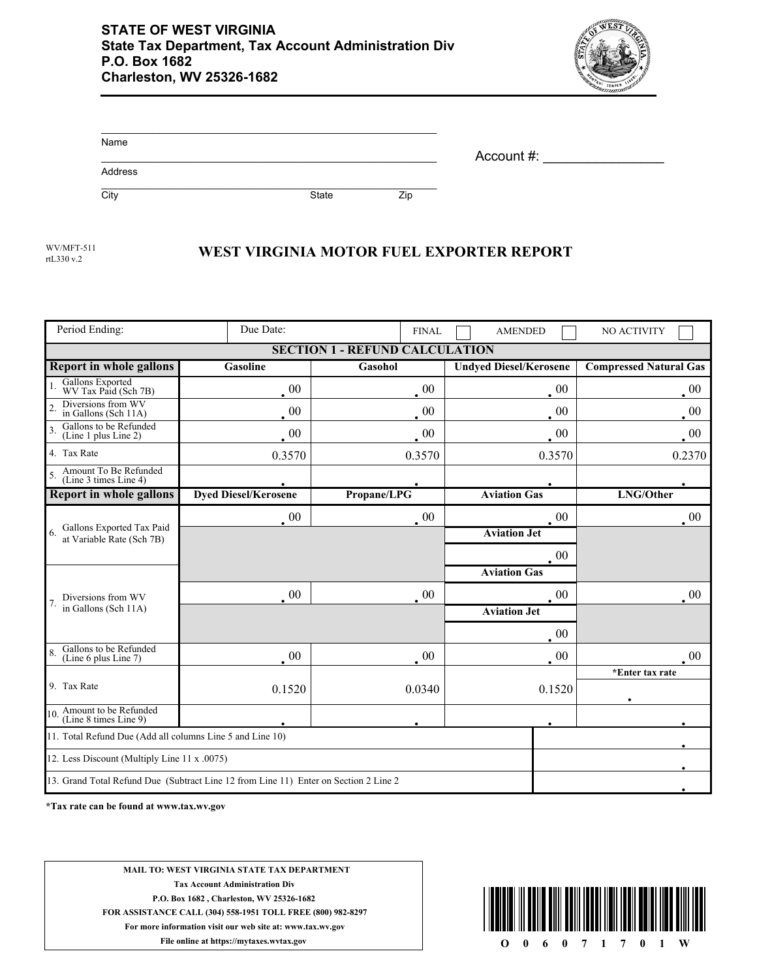

| Name    |              |     | Account #: |  |
|---------|--------------|-----|------------|--|
| Address |              |     |            |  |
| City    | <b>State</b> | Zip |            |  |

rtL330 v.2

## WV/MFT-511<br>WEST VIRGINIA MOTOR FUEL EXPORTER REPORT

| Period Ending:                                                                       | Due Date:                   | <b>FINAL</b>    | <b>AMENDED</b>                | NO ACTIVITY                   |  |  |  |  |  |
|--------------------------------------------------------------------------------------|-----------------------------|-----------------|-------------------------------|-------------------------------|--|--|--|--|--|
| - REFUND CALCULATION<br><b>SECTION 1</b>                                             |                             |                 |                               |                               |  |  |  |  |  |
| <b>Report in whole gallons</b>                                                       | <b>Gasoline</b>             | Gasohol         | <b>Undyed Diesel/Kerosene</b> | <b>Compressed Natural Gas</b> |  |  |  |  |  |
| Gallons Exported<br>WV Tax Paid (Sch 7B)                                             | $\cdot$ 00                  | $\overline{00}$ | $00\,$                        | $00\,$                        |  |  |  |  |  |
| Diversions from WV<br>in Gallons (Sch 11A)                                           | $\cdot^{00}$                | $00\,$          | $00\,$                        | $00\,$                        |  |  |  |  |  |
| Gallons to be Refunded<br>$\overline{3}$<br>(Line 1 plus Line 2)                     | $00\,$                      | $00\,$          | 00                            | 00                            |  |  |  |  |  |
| 4. Tax Rate                                                                          | 0.3570                      | 0.3570          | 0.3570                        | 0.2370                        |  |  |  |  |  |
| Amount To Be Refunded<br>(Line 3 times Line 4)                                       |                             |                 |                               |                               |  |  |  |  |  |
| <b>Report in whole gallons</b>                                                       | <b>Dyed Diesel/Kerosene</b> | Propane/LPG     | <b>Aviation Gas</b>           | LNG/Other                     |  |  |  |  |  |
| Gallons Exported Tax Paid<br>6 <sub>1</sub><br>at Variable Rate (Sch 7B)             | $\cdot$ 00                  | $\cdot$ 00      | $00\,$                        | $00\,$                        |  |  |  |  |  |
|                                                                                      |                             |                 | <b>Aviation Jet</b>           |                               |  |  |  |  |  |
|                                                                                      |                             |                 | 00                            |                               |  |  |  |  |  |
| Diversions from WV<br>in Gallons (Sch 11A)                                           |                             |                 | <b>Aviation Gas</b>           |                               |  |  |  |  |  |
|                                                                                      | $_{\circ}$ 00               | $00\,$          | $00\,$                        | $00\,$                        |  |  |  |  |  |
|                                                                                      |                             |                 | <b>Aviation Jet</b>           |                               |  |  |  |  |  |
|                                                                                      |                             |                 | 00                            |                               |  |  |  |  |  |
| Gallons to be Refunded<br>(Line 6 plus Line 7)                                       | $\cdot$ 00                  | $\cdot^{00}$    | $\cdot$ 00                    | $00\,$                        |  |  |  |  |  |
| 9. Tax Rate                                                                          |                             |                 |                               | *Enter tax rate               |  |  |  |  |  |
|                                                                                      | 0.1520                      | 0.0340          | 0.1520                        |                               |  |  |  |  |  |
| 10. Amount to be Refunded<br>(Line 8 times Line 9)                                   |                             |                 |                               |                               |  |  |  |  |  |
| 11. Total Refund Due (Add all columns Line 5 and Line 10)                            |                             |                 |                               |                               |  |  |  |  |  |
| 12. Less Discount (Multiply Line 11 x .0075)                                         |                             |                 |                               |                               |  |  |  |  |  |
| 13. Grand Total Refund Due (Subtract Line 12 from Line 11) Enter on Section 2 Line 2 |                             |                 |                               |                               |  |  |  |  |  |

**\*Tax rate can be found at www.tax.wv.gov**

**MAIL TO: WEST VIRGINIA STATE TAX DEPARTMENT Tax Account Administration Div P.O. Box 1682 , Charleston, WV 25326-1682 FOR ASSISTANCE CALL (304) 558-1951 TOLL FREE (800) 982-8297 For more information visit our web site at: www.tax.wv.gov File online at https://mytaxes.wvtax.gov O** 0 6 0 7 1 7 0 1 W